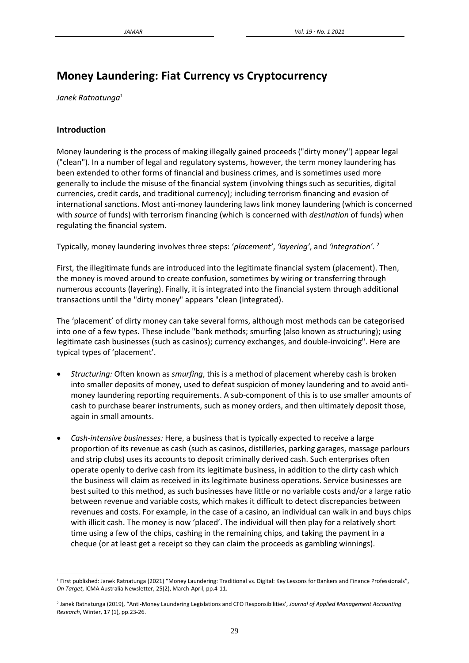# **Money Laundering: Fiat Currency vs Cryptocurrency**

*Janek Ratnatunga*<sup>1</sup>

## **Introduction**

Money laundering is the process of making illegally gained proceeds ("dirty money") appear legal ("clean"). In a number of legal and regulatory systems, however, the term money laundering has been extended to other forms of financial and business crimes, and is sometimes used more generally to include the misuse of the financial system (involving things such as securities, digital currencies, credit cards, and traditional currency); including terrorism financing and evasion of international sanctions. Most anti-money laundering laws link money laundering (which is concerned with *source* of funds) with terrorism financing (which is concerned with *destination* of funds) when regulating the financial system.

Typically, money laundering involves three steps: '*placement'*, *'layering'*, and *'integration'.* <sup>2</sup>

First, the illegitimate funds are introduced into the legitimate financial system (placement). Then, the money is moved around to create confusion, sometimes by wiring or transferring through numerous accounts (layering). Finally, it is integrated into the financial system through additional transactions until the "dirty money" appears "clean (integrated).

The 'placement' of dirty money can take several forms, although most methods can be categorised into one of a few types. These include "bank methods; smurfing (also known as structuring); using legitimate cash businesses (such as casinos); currency exchanges, and double-invoicing". Here are typical types of 'placement'.

- *Structuring:* Often known as *smurfing*, this is a method of placement whereby cash is broken into smaller deposits of money, used to defeat suspicion of money laundering and to avoid antimoney laundering reporting requirements. A sub-component of this is to use smaller amounts of cash to purchase bearer instruments, such as money orders, and then ultimately deposit those, again in small amounts.
- *Cash-intensive businesses:* Here, a business that is typically expected to receive a large proportion of its revenue as cash (such as casinos, distilleries, parking garages, massage parlours and strip clubs) uses its accounts to deposit criminally derived cash. Such enterprises often operate openly to derive cash from its legitimate business, in addition to the dirty cash which the business will claim as received in its legitimate business operations. Service businesses are best suited to this method, as such businesses have little or no variable costs and/or a large ratio between revenue and variable costs, which makes it difficult to detect discrepancies between revenues and costs. For example, in the case of a casino, an individual can walk in and buys chips with illicit cash. The money is now 'placed'. The individual will then play for a relatively short time using a few of the chips, cashing in the remaining chips, and taking the payment in a cheque (or at least get a receipt so they can claim the proceeds as gambling winnings).

<sup>1</sup> First published: Janek Ratnatunga (2021) "Money Laundering: Traditional vs. Digital: Key Lessons for Bankers and Finance Professionals", *On Target*, ICMA Australia Newsletter, 25(2), March-April, pp.4-11.

<sup>2</sup> Janek Ratnatunga (2019), "Anti-Money Laundering Legislations and CFO Responsibilities', *Journal of Applied Management Accounting Research*, Winter, 17 (1), pp.23-26.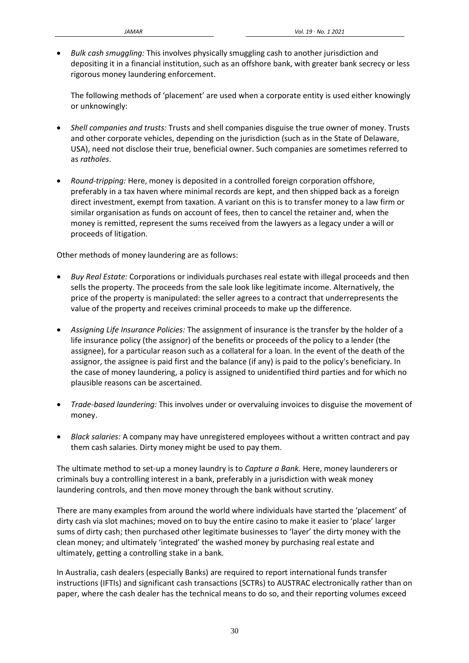• *Bulk cash smuggling:* This involves physically smuggling cash to another jurisdiction and depositing it in a financial institution, such as an offshore bank, with greater bank secrecy or less rigorous money laundering enforcement.

The following methods of 'placement' are used when a corporate entity is used either knowingly or unknowingly:

- *Shell companies and trusts:* Trusts and shell companies disguise the true owner of money. Trusts and other corporate vehicles, depending on the jurisdiction (such as in the State of Delaware, USA), need not disclose their true, beneficial owner. Such companies are sometimes referred to as *ratholes*.
- *Round-tripping:* Here, money is deposited in a controlled foreign corporation offshore, preferably in a tax haven where minimal records are kept, and then shipped back as a foreign direct investment, exempt from taxation. A variant on this is to transfer money to a law firm or similar organisation as funds on account of fees, then to cancel the retainer and, when the money is remitted, represent the sums received from the lawyers as a legacy under a will or proceeds of litigation.

Other methods of money laundering are as follows:

- *Buy Real Estate:* Corporations or individuals purchases real estate with illegal proceeds and then sells the property. The proceeds from the sale look like legitimate income. Alternatively, the price of the property is manipulated: the seller agrees to a contract that underrepresents the value of the property and receives criminal proceeds to make up the difference.
- *Assigning Life Insurance Policies:* The assignment of insurance is the transfer by the holder of a life insurance policy (the assignor) of the benefits or proceeds of the policy to a lender (the assignee), for a particular reason such as a collateral for a loan. In the event of the death of the assignor, the assignee is paid first and the balance (if any) is paid to the policy's beneficiary. In the case of money laundering, a policy is assigned to unidentified third parties and for which no plausible reasons can be ascertained.
- *Trade-based laundering:* This involves under or overvaluing invoices to disguise the movement of money.
- *Black salaries:* A company may have unregistered employees without a written contract and pay them cash salaries. Dirty money might be used to pay them.

The ultimate method to set-up a money laundry is to *Capture a Bank.* Here, money launderers or criminals buy a controlling interest in a bank, preferably in a jurisdiction with weak money laundering controls, and then move money through the bank without scrutiny.

There are many examples from around the world where individuals have started the 'placement' of dirty cash via slot machines; moved on to buy the entire casino to make it easier to 'place' larger sums of dirty cash; then purchased other legitimate businesses to 'layer' the dirty money with the clean money; and ultimately 'integrated' the washed money by purchasing real estate and ultimately, getting a controlling stake in a bank.

In Australia, cash dealers (especially Banks) are required to report international funds transfer instructions (IFTIs) and significant cash transactions (SCTRs) to AUSTRAC electronically rather than on paper, where the cash dealer has the technical means to do so, and their reporting volumes exceed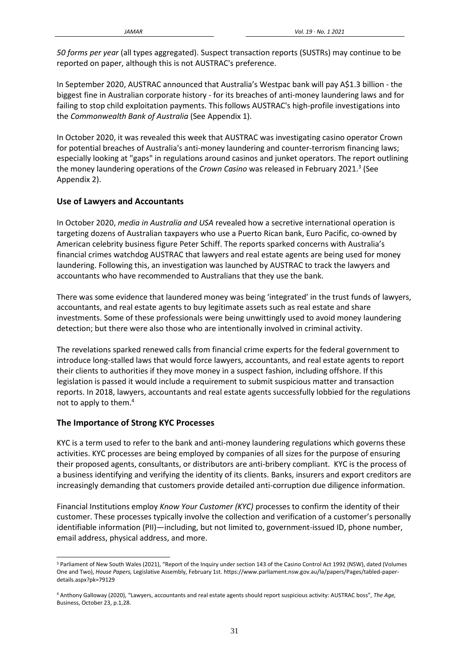*50 forms per year* (all types aggregated). Suspect transaction reports (SUSTRs) may continue to be reported on paper, although this is not AUSTRAC's preference.

In September 2020, AUSTRAC announced that Australia's Westpac bank will pay A\$1.3 billion - the biggest fine in Australian corporate history - for its breaches of anti-money laundering laws and for failing to stop child exploitation payments. This follows AUSTRAC's high-profile investigations into the *Commonwealth Bank of Australia* (See Appendix 1).

In October 2020, it was revealed this week that AUSTRAC was investigating casino operator Crown for potential breaches of Australia's anti-money laundering and counter-terrorism financing laws; especially looking at "gaps" in regulations around casinos and junket operators. The report outlining the money laundering operations of the *Crown Casino* was released in February 2021.<sup>3</sup> (See Appendix 2).

# **Use of Lawyers and Accountants**

In October 2020, *media in Australia and USA* revealed how a secretive international operation is targeting dozens of Australian taxpayers who use a Puerto Rican bank, Euro Pacific, co-owned by American celebrity business figure Peter Schiff. The reports sparked concerns with Australia's financial crimes watchdog AUSTRAC that lawyers and real estate agents are being used for money laundering. Following this, an investigation was launched by AUSTRAC to track the lawyers and accountants who have recommended to Australians that they use the bank.

There was some evidence that laundered money was being 'integrated' in the trust funds of lawyers, accountants, and real estate agents to buy legitimate assets such as real estate and share investments. Some of these professionals were being unwittingly used to avoid money laundering detection; but there were also those who are intentionally involved in criminal activity.

The revelations sparked renewed calls from financial crime experts for the federal government to introduce long-stalled laws that would force lawyers, accountants, and real estate agents to report their clients to authorities if they move money in a suspect fashion, including offshore. If this legislation is passed it would include a requirement to submit suspicious matter and transaction reports. In 2018, lawyers, accountants and real estate agents successfully lobbied for the regulations not to apply to them. 4

## **The Importance of Strong KYC Processes**

KYC is a term used to refer to the bank and anti-money laundering regulations which governs these activities. KYC processes are being employed by companies of all sizes for the purpose of ensuring their proposed agents, consultants, or distributors are anti-bribery compliant. KYC is the process of a business identifying and verifying the identity of its clients. Banks, insurers and export creditors are increasingly demanding that customers provide detailed anti-corruption due diligence information.

Financial Institutions employ *Know Your Customer (KYC)* processes to confirm the identity of their customer. These processes typically involve the collection and verification of a customer's personally identifiable information (PII)—including, but not limited to, government-issued ID, phone number, email address, physical address, and more.

<sup>&</sup>lt;sup>3</sup> Parliament of New South Wales (2021), "Report of the Inquiry under section 143 of the Casino Control Act 1992 (NSW), dated (Volumes One and Two), *House Papers,* Legislative Assembly, February 1st. https://www.parliament.nsw.gov.au/la/papers/Pages/tabled-paperdetails.aspx?pk=79129

<sup>4</sup> Anthony Galloway (2020), "Lawyers, accountants and real estate agents should report suspicious activity: AUSTRAC boss", *The Age,* Business, October 23, p.1,28.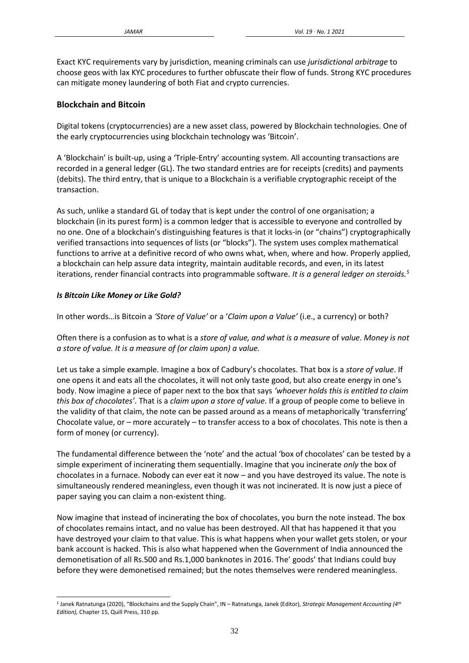Exact KYC requirements vary by jurisdiction, meaning criminals can use *jurisdictional arbitrage* to choose geos with lax KYC procedures to further obfuscate their flow of funds. Strong KYC procedures can mitigate money laundering of both Fiat and crypto currencies.

# **Blockchain and Bitcoin**

Digital tokens (cryptocurrencies) are a new asset class, powered by Blockchain technologies. One of the early cryptocurrencies using blockchain technology was 'Bitcoin'.

A 'Blockchain' is built-up, using a 'Triple-Entry' accounting system. All accounting transactions are recorded in a general ledger (GL). The two standard entries are for receipts (credits) and payments (debits). The third entry, that is unique to a Blockchain is a verifiable cryptographic receipt of the transaction.

As such, unlike a standard GL of today that is kept under the control of one organisation; a blockchain (in its purest form) is a common ledger that is accessible to everyone and controlled by no one. One of a blockchain's distinguishing features is that it locks-in (or "chains") cryptographically verified transactions into sequences of lists (or "blocks"). The system uses complex mathematical functions to arrive at a definitive record of who owns what, when, where and how. Properly applied, a blockchain can help assure data integrity, maintain auditable records, and even, in its latest iterations, render financial contracts into programmable software. *It is a general ledger on steroids.<sup>5</sup>*

## *Is Bitcoin Like Money or Like Gold?*

In other words…is Bitcoin a *'Store of Value'* or a '*Claim upon a Value'* (i.e., a currency) or both?

Often there is a confusion as to what is a *store of value, and what is a measure* of *value*. *Money is not a store of value. It is a measure of (or claim upon) a value.*

Let us take a simple example. Imagine a box of Cadbury's chocolates. That box is a *store of value*. If one opens it and eats all the chocolates, it will not only taste good, but also create energy in one's body. Now imagine a piece of paper next to the box that says *'whoever holds this is entitled to claim this box of chocolates'*. That is a *claim upon a store of value*. If a group of people come to believe in the validity of that claim, the note can be passed around as a means of metaphorically 'transferring' Chocolate value, or – more accurately – to transfer access to a box of chocolates. This note is then a form of money (or currency).

The fundamental difference between the 'note' and the actual 'box of chocolates' can be tested by a simple experiment of incinerating them sequentially. Imagine that you incinerate *only* the box of chocolates in a furnace. Nobody can ever eat it now – and you have destroyed its value. The note is simultaneously rendered meaningless, even though it was not incinerated. It is now just a piece of paper saying you can claim a non-existent thing.

Now imagine that instead of incinerating the box of chocolates, you burn the note instead. The box of chocolates remains intact, and no value has been destroyed. All that has happened it that you have destroyed your claim to that value. This is what happens when your wallet gets stolen, or your bank account is hacked. This is also what happened when the Government of India announced the demonetisation of all Rs.500 and Rs.1,000 banknotes in 2016. The' goods' that Indians could buy before they were demonetised remained; but the notes themselves were rendered meaningless.

<sup>5</sup> Janek Ratnatunga (2020), "Blockchains and the Supply Chain", IN – Ratnatunga, Janek (Editor), *Strategic Management Accounting (4th Edition),* Chapter 15, Quill Press, 310 pp.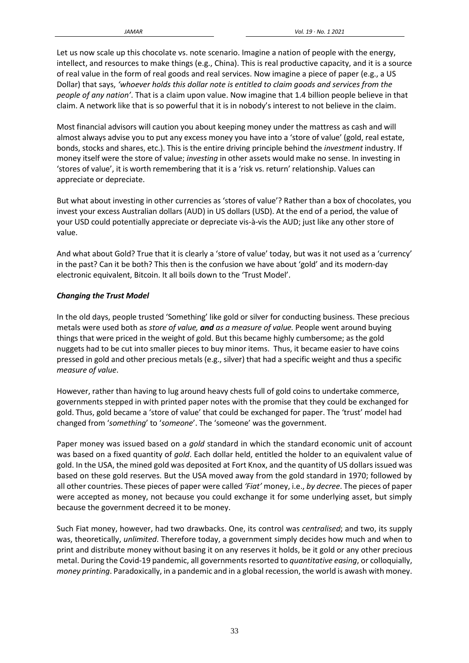Let us now scale up this chocolate vs. note scenario. Imagine a nation of people with the energy, intellect, and resources to make things (e.g., China). This is real productive capacity, and it is a source of real value in the form of real goods and real services. Now imagine a piece of paper (e.g., a US Dollar) that says, *'whoever holds this dollar note is entitled to claim goods and services from the people of any nation'*. That is a claim upon value. Now imagine that 1.4 billion people believe in that claim. A network like that is so powerful that it is in nobody's interest to not believe in the claim.

Most financial advisors will caution you about keeping money under the mattress as cash and will almost always advise you to put any excess money you have into a 'store of value' (gold, real estate, bonds, stocks and shares, etc.). This is the entire driving principle behind the *investment* industry. If money itself were the store of value; *investing* in other assets would make no sense. In investing in 'stores of value', it is worth remembering that it is a 'risk vs. return' relationship. Values can appreciate or depreciate.

But what about investing in other currencies as 'stores of value'? Rather than a box of chocolates, you invest your excess Australian dollars (AUD) in US dollars (USD). At the end of a period, the value of your USD could potentially appreciate or depreciate vis-à-vis the AUD; just like any other store of value.

And what about Gold? True that it is clearly a 'store of value' today, but was it not used as a 'currency' in the past? Can it be both? This then is the confusion we have about 'gold' and its modern-day electronic equivalent, Bitcoin. It all boils down to the 'Trust Model'.

## *Changing the Trust Model*

In the old days, people trusted 'Something' like gold or silver for conducting business. These precious metals were used both as *store of value, and as a measure of value.* People went around buying things that were priced in the weight of gold. But this became highly cumbersome; as the gold nuggets had to be cut into smaller pieces to buy minor items. Thus, it became easier to have coins pressed in gold and other precious metals (e.g., silver) that had a specific weight and thus a specific *measure of value*.

However, rather than having to lug around heavy chests full of gold coins to undertake commerce, governments stepped in with printed paper notes with the promise that they could be exchanged for gold. Thus, gold became a 'store of value' that could be exchanged for paper. The 'trust' model had changed from '*something*' to '*someone*'. The 'someone' was the government.

Paper money was issued based on a *gold* standard in which the standard economic unit of account was based on a fixed quantity of *gold*. Each dollar held, entitled the holder to an equivalent value of gold. In the USA, the mined gold was deposited at Fort Knox, and the quantity of US dollars issued was based on these gold reserves. But the USA moved away from the gold standard in 1970; followed by all other countries. These pieces of paper were called *'Fiat'* money, i.e., *by decree*. The pieces of paper were accepted as money, not because you could exchange it for some underlying asset, but simply because the government decreed it to be money.

Such Fiat money, however, had two drawbacks. One, its control was *centralised*; and two, its supply was, theoretically, *unlimited*. Therefore today, a government simply decides how much and when to print and distribute money without basing it on any reserves it holds, be it gold or any other precious metal. During the Covid-19 pandemic, all governmentsresorted to *quantitative easing*, or colloquially, *money printing*. Paradoxically, in a pandemic and in a global recession, the world is awash with money.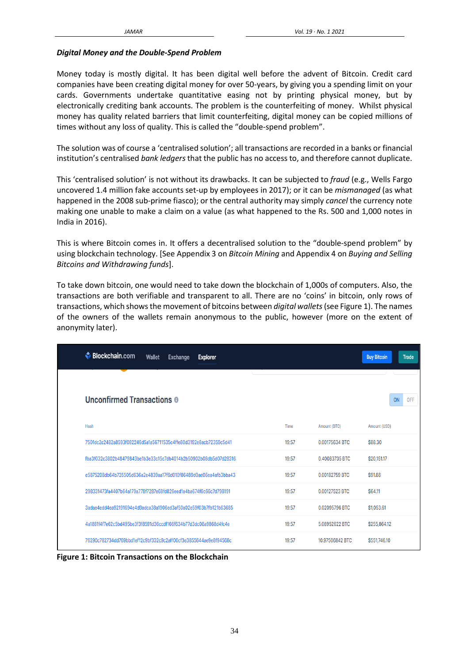#### *Digital Money and the Double-Spend Problem*

Money today is mostly digital. It has been digital well before the advent of Bitcoin. Credit card companies have been creating digital money for over 50-years, by giving you a spending limit on your cards. Governments undertake quantitative easing not by printing physical money, but by electronically crediting bank accounts. The problem is the counterfeiting of money. Whilst physical money has quality related barriers that limit counterfeiting, digital money can be copied millions of times without any loss of quality. This is called the "double-spend problem".

The solution was of course a 'centralised solution'; all transactions are recorded in a banks or financial institution's centralised *bank ledgers* that the public has no access to, and therefore cannot duplicate.

This 'centralised solution' is not without its drawbacks. It can be subjected to *fraud* (e.g., Wells Fargo uncovered 1.4 million fake accounts set-up by employees in 2017); or it can be *mismanaged* (as what happened in the 2008 sub-prime fiasco); or the central authority may simply *cancel* the currency note making one unable to make a claim on a value (as what happened to the Rs. 500 and 1,000 notes in India in 2016).

This is where Bitcoin comes in. It offers a decentralised solution to the "double-spend problem" by using blockchain technology. [See Appendix 3 on *Bitcoin Mining* and Appendix 4 on *Buying and Selling Bitcoins and Withdrawing funds*].

To take down bitcoin, one would need to take down the blockchain of 1,000s of computers. Also, the transactions are both verifiable and transparent to all. There are no 'coins' in bitcoin, only rows of transactions, which showsthe movement of bitcoins between *digital wallets*(see Figure 1). The names of the owners of the wallets remain anonymous to the public, however (more on the extent of anonymity later).

| <b>Blockchain.com</b><br>Wallet<br>Exchange<br><b>Explorer</b>   |       |                 | <b>Buy Bitcoin</b><br><b>Trade</b> |
|------------------------------------------------------------------|-------|-----------------|------------------------------------|
| <b>Unconfirmed Transactions @</b>                                |       |                 | ON<br>OFF                          |
| Hash                                                             | Time  | Amount (BTC)    | Amount (USD)                       |
| 7501dc2c2482a8593f082246d5a1a56711535c4ffe80d3192e8acb72359c5d41 | 19:57 | 0.00175634 BTC  | \$88.30                            |
| fba3f032c3802b48479843be1b3e33c15c7db4014b2b50902b08db5d07d28316 | 19:57 | 0.40083735 BTC  | \$20,151.17                        |
| e5875208db64b735505d636a2e4839aa17f6d010f86489d0ae06ea4afb3bba43 | 19:57 | 0.00182759 BTC  | \$91.88                            |
| 298331473fa4407b64a179a778f7287e68fd826eed1a4ba674f6c66c7d798191 | 19:57 | 0.00127523 BTC  | \$64.11                            |
| 3adae4edd4ea92191694e4d9adca38a1906ed3af50a02e59f03b7fb121b63685 | 19:57 | 0.02095796 BTC  | \$1,053.61                         |
| 4a1881f4f7e62c5bd495be3f3f8591d36ccdf166f634b77d3dc08a9868d4fc4e | 19:57 | 5.08952622 BTC  | \$255,864.12                       |
| 76290c782734dd769bbd1ef12c9bf332c9c2aff00cf3e3855644ae9e8f94568c | 19:57 | 10.97506842 BTC | \$551,746.10                       |

**Figure 1: Bitcoin Transactions on the Blockchain**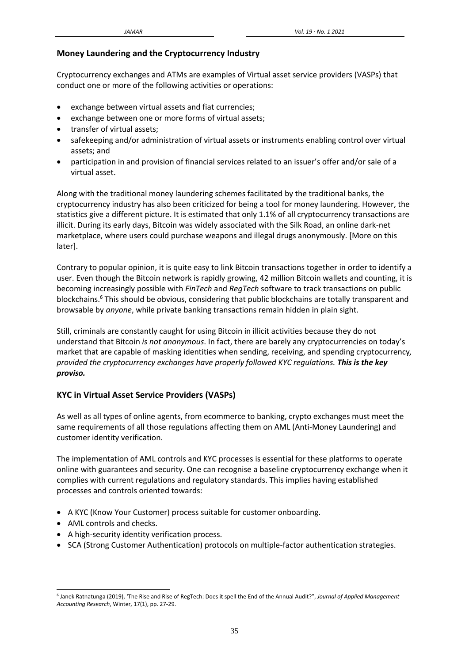#### **Money Laundering and the Cryptocurrency Industry**

Cryptocurrency exchanges and ATMs are examples of Virtual asset service providers (VASPs) that conduct one or more of the following activities or operations:

- exchange between virtual assets and fiat currencies;
- exchange between one or more forms of virtual assets;
- transfer of virtual assets;
- safekeeping and/or administration of virtual assets or instruments enabling control over virtual assets; and
- participation in and provision of financial services related to an issuer's offer and/or sale of a virtual asset.

Along with the traditional money laundering schemes facilitated by the traditional banks, the cryptocurrency industry has also been criticized for being a tool for money laundering. However, the statistics give a different picture. It is estimated that only 1.1% of all cryptocurrency transactions are illicit. During its early days, Bitcoin was widely associated with the Silk Road, an online dark-net marketplace, where users could purchase weapons and illegal drugs anonymously. [More on this later].

Contrary to popular opinion, it is quite easy to link Bitcoin transactions together in order to identify a user. Even though the Bitcoin network is rapidly growing, 42 million Bitcoin wallets and counting, it is becoming increasingly possible with *FinTech* and *RegTech* software to track transactions on public blockchains.<sup>6</sup> This should be obvious, considering that public blockchains are totally transparent and browsable by *anyone*, while private banking transactions remain hidden in plain sight.

Still, criminals are constantly caught for using Bitcoin in illicit activities because they do not understand that Bitcoin *is not anonymous*. In fact, there are barely any cryptocurrencies on today's market that are capable of masking identities when sending, receiving, and spending cryptocurrency*, provided the cryptocurrency exchanges have properly followed KYC regulations. This is the key proviso.*

#### **KYC in Virtual Asset Service Providers (VASPs)**

As well as all types of online agents, from ecommerce to banking, crypto exchanges must meet the same requirements of all those regulations affecting them on AML (Anti-Money Laundering) and customer identity verification.

The implementation of AML controls and KYC processes is essential for these platforms to operate online with guarantees and security. One can recognise a baseline cryptocurrency exchange when it complies with current regulations and regulatory standards. This implies having established processes and controls oriented towards:

- A KYC (Know Your Customer) process suitable for customer onboarding.
- AML controls and checks.
- A high-security identity verification process.
- SCA (Strong Customer Authentication) protocols on multiple-factor authentication strategies.

<sup>6</sup> Janek Ratnatunga (2019), 'The Rise and Rise of RegTech: Does it spell the End of the Annual Audit?", *Journal of Applied Management Accounting Research*, Winter, 17(1), pp. 27-29.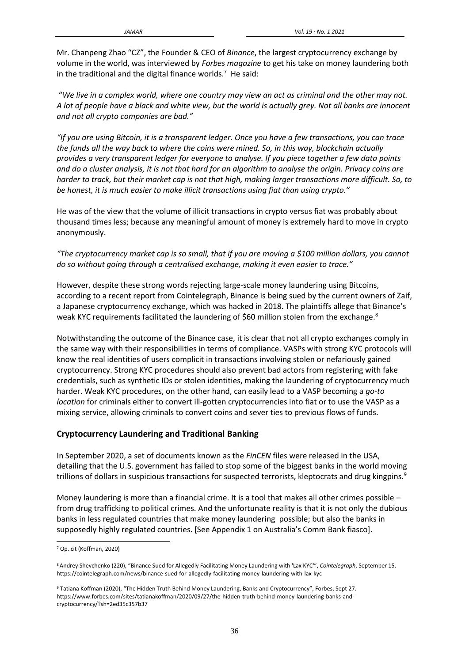Mr. Chanpeng Zhao "CZ", the Founder & CEO of *Binance*, the largest cryptocurrency exchange by volume in the world, was interviewed by *Forbes magazine* to get his take on money laundering both in the traditional and the digital finance worlds.<sup>7</sup> He said:

"*We live in a complex world, where one country may view an act as criminal and the other may not. A lot of people have a black and white view, but the world is actually grey. Not all banks are innocent and not all crypto companies are bad."*

*"If you are using Bitcoin, it is a transparent ledger. Once you have a few transactions, you can trace the funds all the way back to where the coins were mined. So, in this way, blockchain actually provides a very transparent ledger for everyone to analyse. If you piece together a few data points and do a cluster analysis, it is not that hard for an algorithm to analyse the origin. Privacy coins are harder to track, but their market cap is not that high, making larger transactions more difficult. So, to be honest, it is much easier to make illicit transactions using fiat than using crypto."*

He was of the view that the volume of illicit transactions in crypto versus fiat was probably about thousand times less; because any meaningful amount of money is extremely hard to move in crypto anonymously.

*"The cryptocurrency market cap is so small, that if you are moving a \$100 million dollars, you cannot do so without going through a centralised exchange, making it even easier to trace."*

However, despite these strong words rejecting large-scale money laundering using Bitcoins, according to a recent report from Cointelegraph, Binance is being sued by the current owners of Zaif, a Japanese cryptocurrency exchange, which was hacked in 2018. The plaintiffs allege that Binance's weak KYC requirements facilitated the laundering of \$60 million stolen from the exchange.<sup>8</sup>

Notwithstanding the outcome of the Binance case, it is clear that not all crypto exchanges comply in the same way with their responsibilities in terms of compliance. VASPs with strong KYC protocols will know the real identities of users complicit in transactions involving stolen or nefariously gained cryptocurrency. Strong KYC procedures should also prevent bad actors from registering with fake credentials, such as synthetic IDs or stolen identities, making the laundering of cryptocurrency much harder. Weak KYC procedures, on the other hand, can easily lead to a VASP becoming a *go-to location* for criminals either to convert ill-gotten cryptocurrencies into fiat or to use the VASP as a mixing service, allowing criminals to convert coins and sever ties to previous flows of funds.

## **Cryptocurrency Laundering and Traditional Banking**

In September 2020, a set of documents known as the *FinCEN* files were released in the USA, detailing that the U.S. government has failed to stop some of the biggest banks in the world moving trillions of dollars in suspicious transactions for suspected terrorists, kleptocrats and drug kingpins.<sup>9</sup>

Money laundering is more than a financial crime. It is a tool that makes all other crimes possible – from drug trafficking to political crimes. And the unfortunate reality is that it is not only the dubious banks in less regulated countries that make money laundering possible; but also the banks in supposedly highly regulated countries. [See Appendix 1 on Australia's Comm Bank fiasco].

<sup>7</sup> Op. cit (Koffman, 2020)

<sup>8</sup> Andrey Shevchenko (220), "Binance Sued for Allegedly Facilitating Money Laundering with 'Lax KYC'", *Cointelegraph*, September 15. https://cointelegraph.com/news/binance-sued-for-allegedly-facilitating-money-laundering-with-lax-kyc

<sup>9</sup> Tatiana Koffman (2020), "The Hidden Truth Behind Money Laundering, Banks and Cryptocurrency", Forbes, Sept 27. https://www.forbes.com/sites/tatianakoffman/2020/09/27/the-hidden-truth-behind-money-laundering-banks-andcryptocurrency/?sh=2ed35c357b37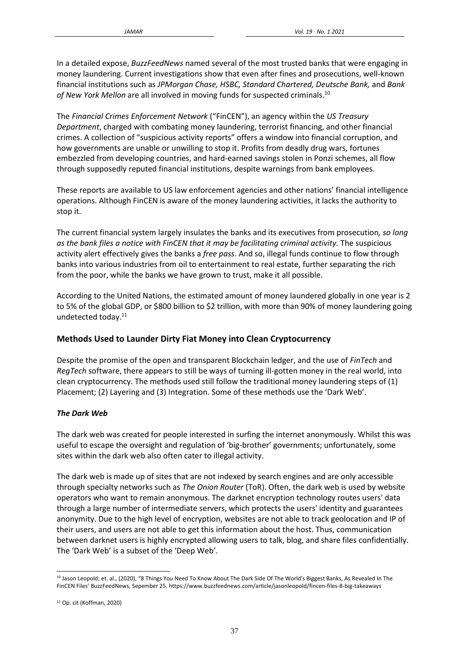In a detailed expose, *BuzzFeedNews* named several of the most trusted banks that were engaging in money laundering. Current investigations show that even after fines and prosecutions, well-known financial institutions such as *JPMorgan Chase, HSBC, Standard Chartered, Deutsche Bank,* and *Bank of New York Mellon* are all involved in moving funds for suspected criminals.<sup>10</sup>

The *Financial Crimes Enforcement Network* ("FinCEN"), an agency within the *US Treasury Department*, charged with combating money laundering, terrorist financing, and other financial crimes. A collection of "suspicious activity reports" offers a window into financial corruption, and how governments are unable or unwilling to stop it. Profits from deadly drug wars, fortunes embezzled from developing countries, and hard-earned savings stolen in Ponzi schemes, all flow through supposedly reputed financial institutions, despite warnings from bank employees.

These reports are available to US law enforcement agencies and other nations' financial intelligence operations. Although FinCEN is aware of the money laundering activities, it lacks the authority to stop it.

The current financial system largely insulates the banks and its executives from prosecution*, so long as the bank files a notice with FinCEN that it may be facilitating criminal activity.* The suspicious activity alert effectively gives the banks a *free pass*. And so, illegal funds continue to flow through banks into various industries from oil to entertainment to real estate, further separating the rich from the poor, while the banks we have grown to trust, make it all possible.

According to the United Nations, the estimated amount of money laundered globally in one year is 2 to 5% of the global GDP, or \$800 billion to \$2 trillion, with more than 90% of money laundering going undetected today.<sup>11</sup>

# **Methods Used to Launder Dirty Fiat Money into Clean Cryptocurrency**

Despite the promise of the open and transparent Blockchain ledger, and the use of *FinTech* and *RegTech* software, there appears to still be ways of turning ill-gotten money in the real world, into clean cryptocurrency. The methods used still follow the traditional money laundering steps of (1) Placement; (2) Layering and (3) Integration. Some of these methods use the 'Dark Web'.

## *The Dark Web*

The dark web was created for people interested in surfing the internet anonymously. Whilst this was useful to escape the oversight and regulation of 'big-brother' governments; unfortunately, some sites within the dark web also often cater to illegal activity.

The dark web is made up of sites that are not indexed by search engines and are only accessible through specialty networks such as *The Onion Router* (ToR). Often, the dark web is used by website operators who want to remain anonymous. The darknet encryption technology routes users' data through a large number of intermediate servers, which protects the users' identity and guarantees anonymity. Due to the high level of encryption, websites are not able to track geolocation and IP of their users, and users are not able to get this information about the host. Thus, communication between darknet users is highly encrypted allowing users to talk, blog, and share files confidentially. The 'Dark Web' is a subset of the 'Deep Web'.

<sup>10</sup> Jason Leopold; et. al., (2020), "8 Things You Need To Know About The Dark Side Of The World's Biggest Banks, As Revealed In The FinCEN Files' BuzzFeedNews, Sepember 25. https://www.buzzfeednews.com/article/jasonleopold/fincen-files-8-big-takeaways

<sup>11</sup> Op. cit (Koffman, 2020)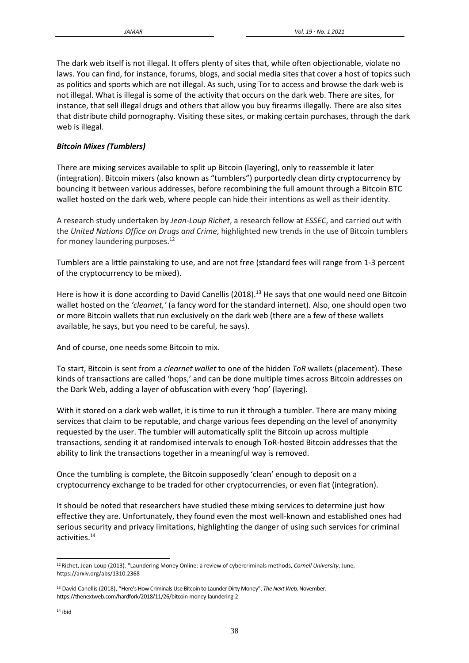The dark web itself is not illegal. It offers plenty of sites that, while often objectionable, violate no laws. You can find, for instance, forums, blogs, and social media sites that cover a host of topics such as politics and sports which are not illegal. As such, using Tor to access and browse the dark web is not illegal. What is illegal is some of the activity that occurs on the dark web. There are sites, for instance, that sell illegal drugs and others that allow you buy firearms illegally. There are also sites that distribute child pornography. Visiting these sites, or making certain purchases, through the dark web is illegal.

# *Bitcoin Mixes (Tumblers)*

There are mixing services available to split up Bitcoin (layering), only to reassemble it later (integration). Bitcoin mixers (also known as "tumblers") purportedly clean dirty cryptocurrency by bouncing it between various addresses, before recombining the full amount through a Bitcoin [BTC](https://partners.etoro.com/B9157_A72407_TClick.aspx) wallet hosted on the dark web, where people can hide their intentions as well as their identity.

A research study undertaken by *Jean-Loup Richet*, a research fellow at *ESSEC*, and carried out with the *United Nations Office on Drugs and Crime*, highlighted new trends in the use of Bitcoin tumblers for money laundering purposes.<sup>12</sup>

Tumblers are a little painstaking to use, and are not free (standard fees will range from 1-3 percent of the cryptocurrency to be mixed).

Here is how it is done according to David Canellis (2018).<sup>13</sup> He says that one would need one Bitcoin wallet hosted on the *'clearnet,'* (a fancy word for the standard internet). Also, one should open two or more Bitcoin wallets that run exclusively on the [dark](https://thenextweb.com/security/2018/11/16/details-of-170000-pakistani-debit-cards-leaked-on-dark-web/) web (there are a few of these wallets available, he says, but you need to be careful, he says).

And of course, one needs some Bitcoin to mix.

To start, Bitcoin is sent from a *clearnet wallet* to one of the hidden *ToR* wallets (placement). These kinds of transactions are called 'hops,' and can be done multiple times across Bitcoin addresses on the Dark Web, adding a layer of obfuscation with every 'hop' (layering).

With it stored on a dark web wallet, it is time to run it through a tumbler. There are many mixing services that claim to be reputable, and charge various fees depending on the level of anonymity requested by the user. The tumbler will automatically split the Bitcoin up across multiple transactions, sending it at randomised intervals to enough ToR-hosted Bitcoin addresses that the ability to link the transactions together in a meaningful way is removed.

Once the tumbling is complete, the Bitcoin supposedly 'clean' enough to deposit on a cryptocurrency exchange to be traded for other cryptocurrencies, or even fiat (integration).

It should be noted that researchers have studied these mixing services to determine just how effective they are. Unfortunately, they found even the most well-known and established ones had serious security and privacy limitations, highlighting the danger of using such services for criminal activities.<sup>14</sup>

<sup>12</sup> Richet, Jean-Loup (2013). "Laundering Money Online: a review of cybercriminals methods, *Cornell University*, June, https://arxiv.org/abs/1310.2368

<sup>13</sup> David Canellis (2018), "Here's How Criminals Use Bitcoin to Launder Dirty Money", *The Next Web,* November. https://thenextweb.com/hardfork/2018/11/26/bitcoin-money-laundering-2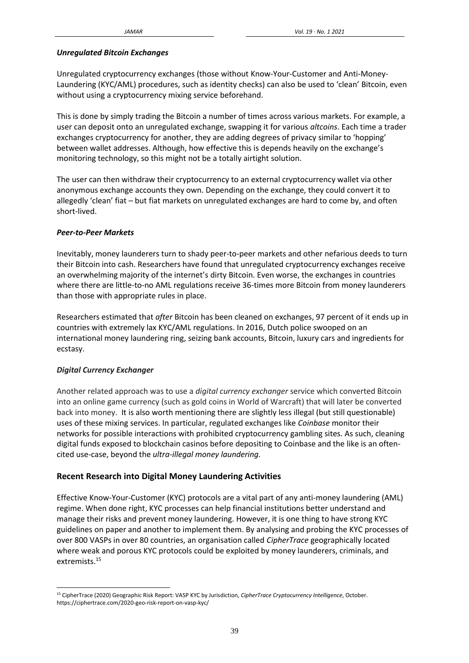#### *Unregulated Bitcoin Exchanges*

Unregulated cryptocurrency exchanges (those without Know-Your-Customer and Anti-Money-Laundering (KYC/AML) procedures, such as identity checks) can also be used to 'clean' Bitcoin, even without using a cryptocurrency mixing service beforehand.

This is done by simply trading the Bitcoin a number of times across various markets. For example, a user can deposit onto an unregulated exchange, swapping it for various *altcoins*. Each time a trader exchanges cryptocurrency for another, they are adding degrees of privacy similar to 'hopping' between wallet addresses. Although, how effective this is depends heavily on the exchange's monitoring technology, so this might not be a totally airtight solution.

The user can then withdraw their cryptocurrency to an external cryptocurrency wallet via other anonymous exchange accounts they own. Depending on the exchange, they could convert it to allegedly 'clean' fiat – but fiat markets on unregulated exchanges are hard to come by, and often short-lived.

#### *Peer-to-Peer Markets*

Inevitably, money launderers turn to shady peer-to-peer markets and other nefarious deeds to turn their Bitcoin into cash. Researchers have found that unregulated cryptocurrency exchanges receive an overwhelming majority of the internet's dirty Bitcoin. Even worse, the exchanges in countries where there are little-to-no AML regulations receive 36-times more Bitcoin from money launderers than those with appropriate rules in place.

Researchers estimated that *after* Bitcoin has been cleaned on exchanges, 97 percent of it ends up in countries with extremely lax KYC/AML regulations. In 2016, Dutch police swooped on an international money laundering ring, seizing bank accounts, Bitcoin, luxury cars and ingredients for ecstasy.

## *Digital Currency Exchanger*

Another related approach was to use a *digital currency exchanger* service which converted Bitcoin into an online game currency (such as gold coins in World of Warcraft) that will later be converted back into money. It is also worth mentioning there are slightly less illegal (but still questionable) uses of these mixing services. In particular, regulated exchanges like *Coinbase* monitor their networks for possible interactions with prohibited cryptocurrency gambling sites. As such, cleaning digital funds exposed to blockchain casinos before depositing to Coinbase and the like is an oftencited use-case, beyond the *ultra-illegal money laundering.*

## **Recent Research into Digital Money Laundering Activities**

Effective Know-Your-Customer (KYC) protocols are a vital part of any anti-money laundering (AML) regime. When done right, KYC processes can help financial institutions better understand and manage their risks and prevent money laundering. However, it is one thing to have strong KYC guidelines on paper and another to implement them. By analysing and probing the KYC processes of over 800 VASPs in over 80 countries, an organisation called *CipherTrace* geographically located where weak and porous KYC protocols could be exploited by money launderers, criminals, and extremists.<sup>15</sup>

<sup>15</sup> CipherTrace (2020) Geographic Risk Report: VASP KYC by Jurisdiction, *CipherTrace Cryptocurrency Intelligence*, October. https://ciphertrace.com/2020-geo-risk-report-on-vasp-kyc/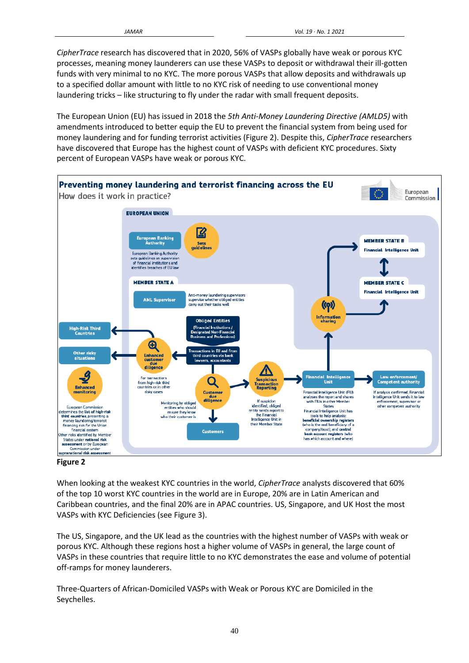*CipherTrace* research has discovered that in 2020, 56% of VASPs globally have weak or porous KYC processes, meaning money launderers can use these VASPs to deposit or withdrawal their ill-gotten funds with very minimal to no KYC. The more porous VASPs that allow deposits and withdrawals up to a specified dollar amount with little to no KYC risk of needing to use conventional money laundering tricks – like structuring to fly under the radar with small frequent deposits.

The European Union (EU) has issued in 2018 the *5th Anti-Money Laundering Directive (AMLD5)* with amendments introduced to better equip the EU to prevent the financial system from being used for money laundering and for funding terrorist activities (Figure 2). Despite this, *CipherTrace* researchers have discovered that Europe has the highest count of VASPs with deficient KYC procedures. Sixty percent of European VASPs have weak or porous KYC.



**Figure 2**

When looking at the weakest KYC countries in the world, *CipherTrace* analysts discovered that 60% of the top 10 worst KYC countries in the world are in Europe, 20% are in Latin American and Caribbean countries, and the final 20% are in APAC countries. US, Singapore, and UK Host the most VASPs with KYC Deficiencies (see Figure 3).

The US, Singapore, and the UK lead as the countries with the highest number of VASPs with weak or porous KYC. Although these regions host a higher volume of VASPs in general, the large count of VASPs in these countries that require little to no KYC demonstrates the ease and volume of potential off-ramps for money launderers.

Three-Quarters of African-Domiciled VASPs with Weak or Porous KYC are Domiciled in the Seychelles.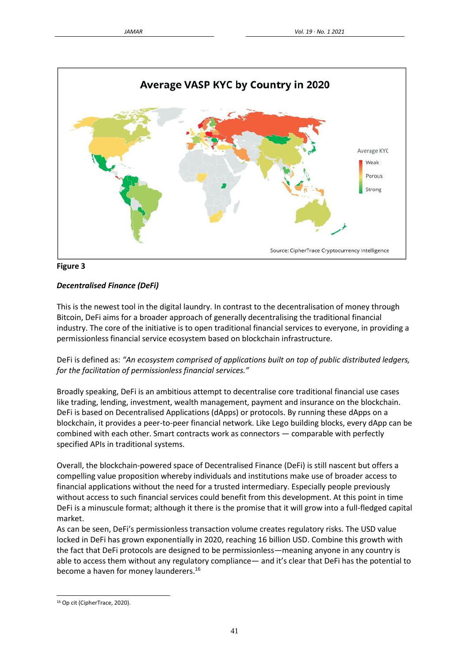



# *Decentralised Finance (DeFi)*

This is the newest tool in the digital laundry. In contrast to the decentralisation of money through Bitcoin, DeFi aims for a broader approach of generally decentralising the traditional financial industry. The core of the initiative is to open traditional financial services to everyone, in providing a permissionless financial service ecosystem based on blockchain infrastructure.

DeFi is defined as: "An ecosystem comprised of applications built on top of public distributed ledgers, *for the facilitation of permissionless financial services."*

Broadly speaking, DeFi is an ambitious attempt to decentralise core traditional financial use cases like trading, lending, investment, wealth management, payment and insurance on the blockchain. DeFi is based on Decentralised Applications (dApps) or protocols. By running these dApps on a blockchain, it provides a peer-to-peer financial network. Like Lego building blocks, every dApp can be combined with each other. Smart contracts work as connectors — comparable with perfectly specified APIs in traditional systems.

Overall, the blockchain-powered space of Decentralised Finance (DeFi) is still nascent but offers a compelling value proposition whereby individuals and institutions make use of broader access to financial applications without the need for a trusted intermediary. Especially people previously without access to such financial services could benefit from this development. At this point in time DeFi is a minuscule format; although it there is the promise that it will grow into a full-fledged capital market.

As can be seen, DeFi's permissionless transaction volume creates regulatory risks. The USD value locked in DeFi has grown exponentially in 2020, reaching 16 billion USD. Combine this growth with the fact that DeFi protocols are designed to be permissionless—meaning anyone in any country is able to access them without any regulatory compliance— and it's clear that DeFi has the potential to become a haven for money launderers.<sup>16</sup>

<sup>16</sup> Op cit (CipherTrace, 2020).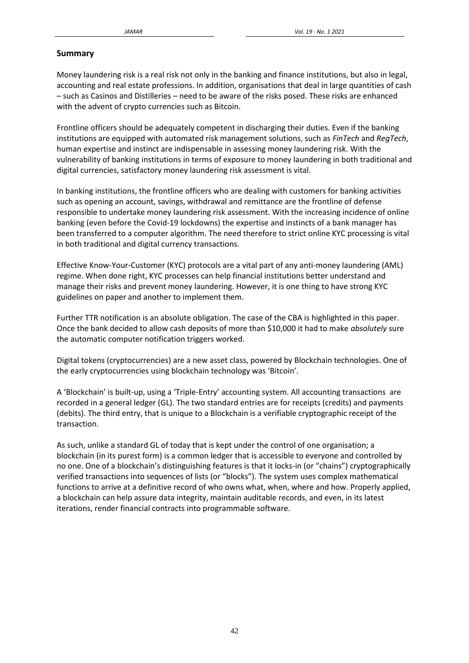#### **Summary**

Money laundering risk is a real risk not only in the banking and finance institutions, but also in legal, accounting and real estate professions. In addition, organisations that deal in large quantities of cash – such as Casinos and Distilleries – need to be aware of the risks posed. These risks are enhanced with the advent of crypto currencies such as Bitcoin.

Frontline officers should be adequately competent in discharging their duties. Even if the banking institutions are equipped with automated risk management solutions, such as *FinTech* and *RegTech*, human expertise and instinct are indispensable in assessing money laundering risk. With the vulnerability of banking institutions in terms of exposure to money laundering in both traditional and digital currencies, satisfactory money laundering risk assessment is vital.

In banking institutions, the frontline officers who are dealing with customers for banking activities such as opening an account, savings, withdrawal and remittance are the frontline of defense responsible to undertake money laundering risk assessment. With the increasing incidence of online banking (even before the Covid-19 lockdowns) the expertise and instincts of a bank manager has been transferred to a computer algorithm. The need therefore to strict online KYC processing is vital in both traditional and digital currency transactions.

Effective Know-Your-Customer (KYC) protocols are a vital part of any anti-money laundering (AML) regime. When done right, KYC processes can help financial institutions better understand and manage their risks and prevent money laundering. However, it is one thing to have strong KYC guidelines on paper and another to implement them.

Further TTR notification is an absolute obligation. The case of the CBA is highlighted in this paper. Once the bank decided to allow cash deposits of more than \$10,000 it had to make *absolutely* sure the automatic computer notification triggers worked.

Digital tokens (cryptocurrencies) are a new asset class, powered by Blockchain technologies. One of the early cryptocurrencies using blockchain technology was 'Bitcoin'.

A 'Blockchain' is built-up, using a 'Triple-Entry' accounting system. All accounting transactions are recorded in a general ledger (GL). The two standard entries are for receipts (credits) and payments (debits). The third entry, that is unique to a Blockchain is a verifiable cryptographic receipt of the transaction.

As such, unlike a standard GL of today that is kept under the control of one organisation; a blockchain (in its purest form) is a common ledger that is accessible to everyone and controlled by no one. One of a blockchain's distinguishing features is that it locks-in (or "chains") cryptographically verified transactions into sequences of lists (or "blocks"). The system uses complex mathematical functions to arrive at a definitive record of who owns what, when, where and how. Properly applied, a blockchain can help assure data integrity, maintain auditable records, and even, in its latest iterations, render financial contracts into programmable software.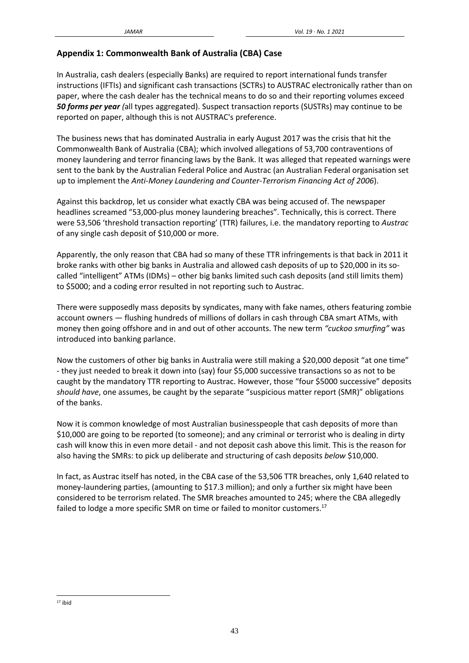# **Appendix 1: Commonwealth Bank of Australia (CBA) Case**

In Australia, cash dealers (especially Banks) are required to report international funds transfer instructions (IFTIs) and significant cash transactions (SCTRs) to AUSTRAC electronically rather than on paper, where the cash dealer has the technical means to do so and their reporting volumes exceed *50 forms per year (*all types aggregated). Suspect transaction reports (SUSTRs) may continue to be reported on paper, although this is not AUSTRAC's preference.

The business news that has dominated Australia in early August 2017 was the crisis that hit the Commonwealth Bank of Australia (CBA); which involved allegations of 53,700 contraventions of money laundering and terror financing laws by the Bank. It was alleged that repeated warnings were sent to the bank by the Australian Federal Police and Austrac (an Australian Federal organisation set up to implement the *Anti-Money Laundering and Counter-Terrorism Financing Act of 2006*).

Against this backdrop, let us consider what exactly CBA was being accused of. The newspaper headlines screamed "53,000-plus money laundering breaches". Technically, this is correct. There were 53,506 'threshold transaction reporting' (TTR) failures, i.e. the mandatory reporting to *Austrac* of any single cash deposit of \$10,000 or more.

Apparently, the only reason that CBA had so many of these TTR infringements is that back in 2011 it broke ranks with other big banks in Australia and allowed cash deposits of up to \$20,000 in its socalled "intelligent" ATMs (IDMs) – other big banks limited such cash deposits (and still limits them) to \$5000; and a coding error resulted in not reporting such to Austrac.

There were supposedly mass deposits by syndicates, many with fake names, others featuring zombie account owners — flushing hundreds of millions of dollars in cash through CBA smart ATMs, with money then going offshore and in and out of other accounts. The new term *"cuckoo smurfing"* was introduced into banking parlance.

Now the customers of other big banks in Australia were still making a \$20,000 deposit "at one time" - they just needed to break it down into (say) four \$5,000 successive transactions so as not to be caught by the mandatory TTR reporting to Austrac. However, those "four \$5000 successive" deposits *should have*, one assumes, be caught by the separate "suspicious matter report (SMR)" obligations of the banks.

Now it is common knowledge of most Australian businesspeople that cash deposits of more than \$10,000 are going to be reported (to someone); and any criminal or terrorist who is dealing in dirty cash will know this in even more detail - and not deposit cash above this limit. This is the reason for also having the SMRs: to pick up deliberate and structuring of cash deposits *below* \$10,000.

In fact, as Austrac itself has noted, in the CBA case of the 53,506 TTR breaches, only 1,640 related to money-laundering parties, (amounting to \$17.3 million); and only a further six might have been considered to be terrorism related. The SMR breaches amounted to 245; where the CBA allegedly failed to lodge a more specific SMR on time or failed to monitor customers.<sup>17</sup>

<sup>17</sup> ibid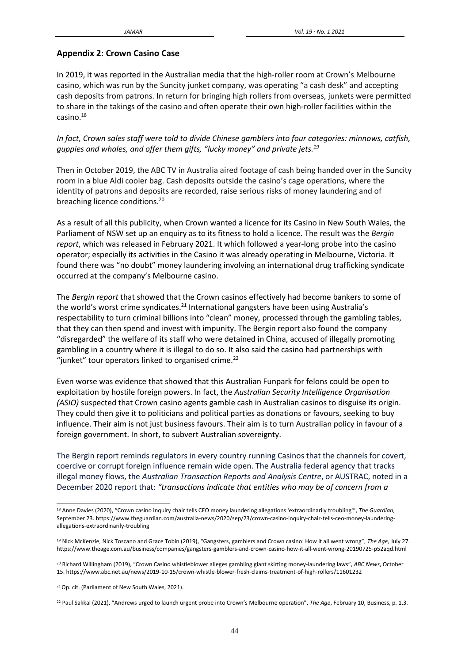#### **Appendix 2: Crown Casino Case**

In 2019, it was reported in the Australian media that the high-roller room at Crown's Melbourne casino, which was run by the Suncity junket company, was operating "a cash desk" and accepting cash deposits from patrons. In return for bringing high rollers from overseas, junkets were permitted to share in the takings of the casino and often operate their own high-roller facilities within the  $casino.<sup>18</sup>$ 

*In fact, Crown sales staff were told to divide Chinese gamblers into four categories: minnows, catfish, guppies and whales, and offer them gifts, "lucky money" and private jets.<sup>19</sup>*

Then in October 2019, the ABC TV in Australia aired footage of cash being handed over in the Suncity room in a blue Aldi cooler bag. Cash deposits outside the casino's cage operations, where the identity of patrons and deposits are recorded, raise serious risks of money laundering and of breaching licence conditions.<sup>20</sup>

As a result of all this publicity, when Crown wanted a licence for its Casino in New South Wales, the Parliament of NSW set up an enquiry as to its fitness to hold a licence. The result was the *Bergin report*, which was released in February 2021. It which followed a year-long probe into the casino operator; especially its activities in the Casino it was already operating in Melbourne, Victoria. It found there was "no doubt" money laundering involving an international drug trafficking syndicate occurred at the company's Melbourne casino.

The *Bergin report* that showed that the Crown casinos effectively had become bankers to some of the world's worst crime syndicates.<sup>21</sup> International gangsters have been using Australia's respectability to turn criminal billions into "clean" money, processed through the gambling tables, that they can then spend and invest with impunity. The Bergin report also found the company "disregarded" the welfare of its staff who were detained in China, accused of illegally promoting gambling in a country where it is illegal to do so. It also said the casino had partnerships with "junket" tour operators linked to organised crime. $^{22}$ 

Even worse was evidence that showed that this Australian Funpark for felons could be open to exploitation by hostile foreign powers. In fact, the *Australian Security Intelligence Organisation (ASIO)* suspected that Crown casino agents gamble cash in Australian casinos to disguise its origin. They could then give it to politicians and political parties as donations or favours, seeking to buy influence. Their aim is not just business favours. Their aim is to turn Australian policy in favour of a foreign government. In short, to subvert Australian sovereignty.

The Bergin report reminds regulators in every country running Casinos that the channels for covert, coercive or corrupt foreign influence remain wide open. The Australia federal agency that tracks illegal money flows, the *Australian Transaction Reports and Analysis Centre*, or AUSTRAC, noted in a December 2020 report that: *"transactions indicate that entities who may be of concern from a*

<sup>18</sup> Anne Davies (2020), "Crown casino inquiry chair tells CEO money laundering allegations 'extraordinarily troubling'", *The Guardian*, September 23. https://www.theguardian.com/australia-news/2020/sep/23/crown-casino-inquiry-chair-tells-ceo-money-launderingallegations-extraordinarily-troubling

<sup>19</sup> Nick McKenzie, Nick Toscano and Grace Tobin (2019), "Gangsters, gamblers and Crown casino: How it all went wrong", *The Age,* July 27. https://www.theage.com.au/business/companies/gangsters-gamblers-and-crown-casino-how-it-all-went-wrong-20190725-p52aqd.html

<sup>20</sup> Richard Willingham (2019), "Crown Casino whistleblower alleges gambling giant skirting money-laundering laws", *ABC News*, October 15. https://www.abc.net.au/news/2019-10-15/crown-whistle-blower-fresh-claims-treatment-of-high-rollers/11601232

<sup>&</sup>lt;sup>21</sup> Op. cit. (Parliament of New South Wales, 2021).

<sup>22</sup> Paul Sakkal (2021), "Andrews urged to launch urgent probe into Crown's Melbourne operation", *The Age*, February 10, Business, p. 1,3.